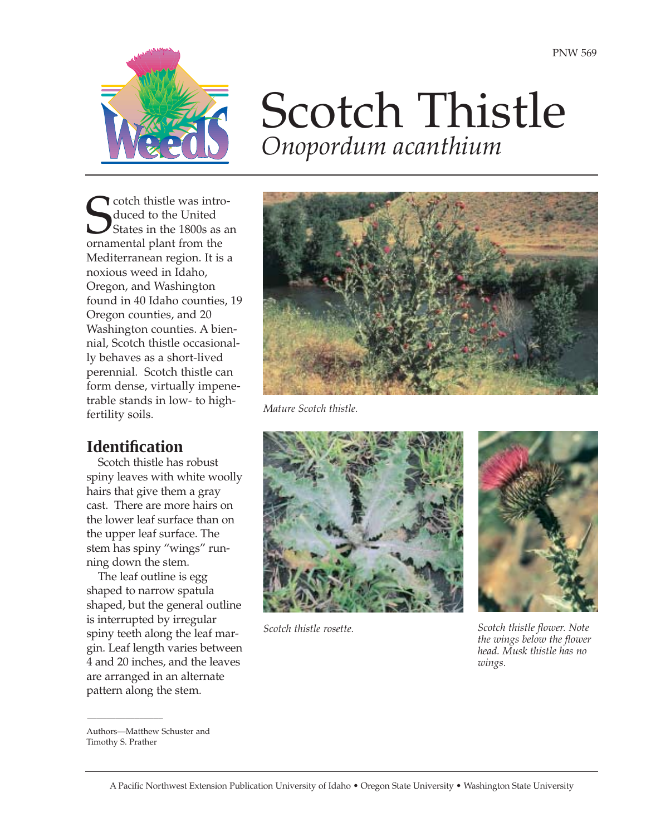

# Scotch Thistle *Onopordum acanthium*

**S** cotch thistle was introduced to the United States in the 1800s as ornamental plant from the cotch thistle was introduced to the United States in the 1800s as an Mediterranean region. It is a noxious weed in Idaho, Oregon, and Washington found in 40 Idaho counties, 19 Oregon counties, and 20 Washington counties. A biennial, Scotch thistle occasionally behaves as a short-lived perennial. Scotch thistle can form dense, virtually impenetrable stands in low- to highfertility soils.

# **Identification**

Scotch thistle has robust spiny leaves with white woolly hairs that give them a gray cast. There are more hairs on the lower leaf surface than on the upper leaf surface. The stem has spiny "wings" running down the stem.

The leaf outline is egg shaped to narrow spatula shaped, but the general outline is interrupted by irregular spiny teeth along the leaf margin. Leaf length varies between 4 and 20 inches, and the leaves are arranged in an alternate pattern along the stem.



*Mature Scotch thistle.*



*Scotch thistle rosette.*



*Scotch thistle flower. Note the wings below the flower head. Musk thistle has no wings.*

 $\mathcal{L}$ 

Authors—Matthew Schuster and Timothy S. Prather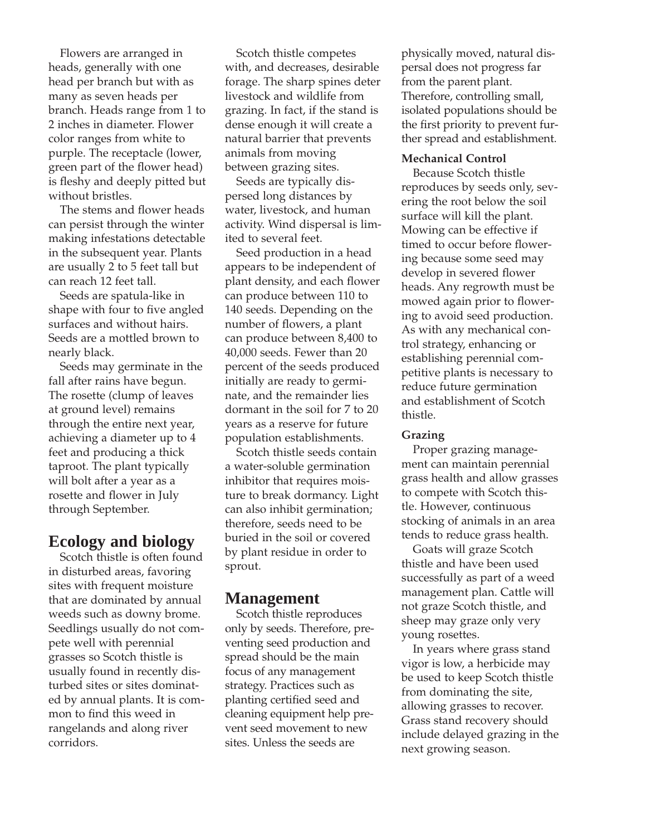Flowers are arranged in heads, generally with one head per branch but with as many as seven heads per branch. Heads range from 1 to 2 inches in diameter. Flower color ranges from white to purple. The receptacle (lower, green part of the flower head) is fleshy and deeply pitted but without bristles.

The stems and flower heads can persist through the winter making infestations detectable in the subsequent year. Plants are usually 2 to 5 feet tall but can reach 12 feet tall.

Seeds are spatula-like in shape with four to five angled surfaces and without hairs. Seeds are a mottled brown to nearly black.

Seeds may germinate in the fall after rains have begun. The rosette (clump of leaves at ground level) remains through the entire next year, achieving a diameter up to 4 feet and producing a thick taproot. The plant typically will bolt after a year as a rosette and flower in July through September.

# **Ecology and biology**

Scotch thistle is often found in disturbed areas, favoring sites with frequent moisture that are dominated by annual weeds such as downy brome. Seedlings usually do not compete well with perennial grasses so Scotch thistle is usually found in recently disturbed sites or sites dominated by annual plants. It is common to find this weed in rangelands and along river corridors.

Scotch thistle competes with, and decreases, desirable forage. The sharp spines deter livestock and wildlife from grazing. In fact, if the stand is dense enough it will create a natural barrier that prevents animals from moving between grazing sites.

Seeds are typically dispersed long distances by water, livestock, and human activity. Wind dispersal is limited to several feet.

Seed production in a head appears to be independent of plant density, and each flower can produce between 110 to 140 seeds. Depending on the number of flowers, a plant can produce between 8,400 to 40,000 seeds. Fewer than 20 percent of the seeds produced initially are ready to germinate, and the remainder lies dormant in the soil for 7 to 20 years as a reserve for future population establishments.

Scotch thistle seeds contain a water-soluble germination inhibitor that requires moisture to break dormancy. Light can also inhibit germination; therefore, seeds need to be buried in the soil or covered by plant residue in order to sprout.

### **Management**

Scotch thistle reproduces only by seeds. Therefore, preventing seed production and spread should be the main focus of any management strategy. Practices such as planting certified seed and cleaning equipment help prevent seed movement to new sites. Unless the seeds are

physically moved, natural dispersal does not progress far from the parent plant. Therefore, controlling small, isolated populations should be the first priority to prevent further spread and establishment.

#### **Mechanical Control**

Because Scotch thistle reproduces by seeds only, severing the root below the soil surface will kill the plant. Mowing can be effective if timed to occur before flowering because some seed may develop in severed flower heads. Any regrowth must be mowed again prior to flowering to avoid seed production. As with any mechanical control strategy, enhancing or establishing perennial competitive plants is necessary to reduce future germination and establishment of Scotch thistle.

#### **Grazing**

Proper grazing management can maintain perennial grass health and allow grasses to compete with Scotch thistle. However, continuous stocking of animals in an area tends to reduce grass health.

Goats will graze Scotch thistle and have been used successfully as part of a weed management plan. Cattle will not graze Scotch thistle, and sheep may graze only very young rosettes.

In years where grass stand vigor is low, a herbicide may be used to keep Scotch thistle from dominating the site, allowing grasses to recover. Grass stand recovery should include delayed grazing in the next growing season.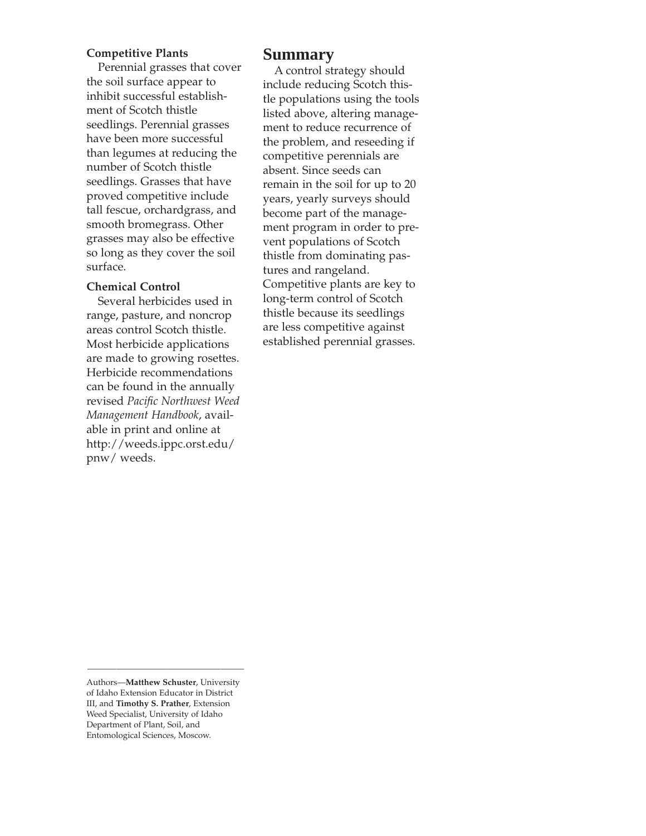#### **Competitive Plants**

Perennial grasses that cover the soil surface appear to inhibit successful establishment of Scotch thistle seedlings. Perennial grasses have been more successful than legumes at reducing the number of Scotch thistle seedlings. Grasses that have proved competitive include tall fescue, orchardgrass, and smooth bromegrass. Other grasses may also be effective so long as they cover the soil surface.

#### **Chemical Control**

Several herbicides used in range, pasture, and noncrop areas control Scotch thistle. Most herbicide applications are made to growing rosettes. Herbicide recommendations can be found in the annually revised *Pacific Northwest Weed Management Handbook*, available in print and online at http://weeds.ippc.orst.edu/ pnw/ weeds.

## **Summary**

A control strategy should include reducing Scotch thistle populations using the tools listed above, altering management to reduce recurrence of the problem, and reseeding if competitive perennials are absent. Since seeds can remain in the soil for up to 20 years, yearly surveys should become part of the management program in order to prevent populations of Scotch thistle from dominating pastures and rangeland. Competitive plants are key to long-term control of Scotch thistle because its seedlings are less competitive against established perennial grasses.

\_\_\_\_\_\_\_\_\_\_\_\_\_\_\_\_\_\_\_\_\_\_\_\_\_\_\_\_\_\_\_\_\_

Authors—**Matthew Schuster**, University of Idaho Extension Educator in District III, and **Timothy S. Prather**, Extension Weed Specialist, University of Idaho Department of Plant, Soil, and Entomological Sciences, Moscow.